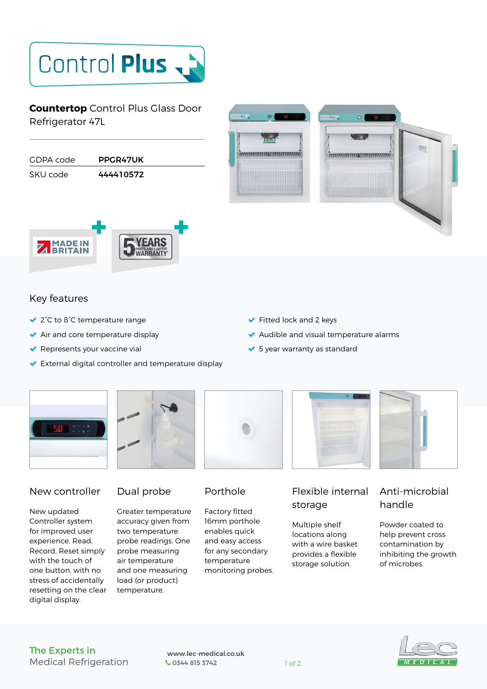# Control Plus

**Countertop** Control Plus Glass Door Refrigerator 47L

| GDPA code | PPGR47UK  |  |
|-----------|-----------|--|
| SKU code  | 444410572 |  |
|           |           |  |





### Key features

- 2°C to 8°C temperature range
- ◆ Air and core temperature display
- $\blacktriangleright$  Represents your vaccine vial
- External digital controller and temperature display
- Fitted lock and 2 keys
- Audible and visual temperature alarms
- ◆ 5 year warranty as standard





#### New controller

New updated Controller system for improved user experience. Read, Record, Reset simply with the touch of one button, with no stress of accidentally resetting on the clear digital display.



Greater temperature accuracy given from two temperature probe readings. One probe measuring air temperature and one measuring load (or product) temperature.



## Porthole

Factory fitted 16mm porthole enables quick and easy access for any secondary temperature monitoring probes.



# Flexible internal storage

Multiple shelf locations along with a wire basket provides a flexible storage solution.

# Anti-microbial handle

Powder coated to help prevent cross contamination by inhibiting the growth of microbes.

#### The Experts in Medical Refrigeration

 **www.lec-medical.co.uk**  Company 1 of 2